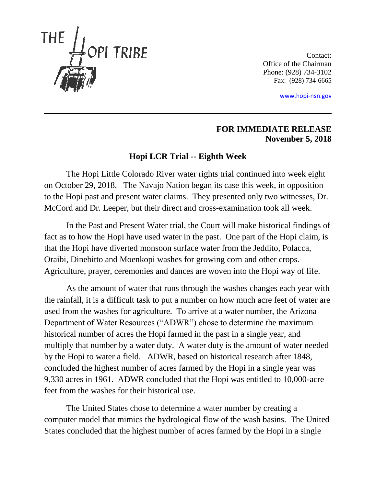

Contact: Office of the Chairman Phone: (928) 734-3102 Fax: (928) 734-6665

[www.hopi-nsn.gov](http://www.hopi-nsn.gov/)

## **FOR IMMEDIATE RELEASE November 5, 2018**

## **Hopi LCR Trial -- Eighth Week**

The Hopi Little Colorado River water rights trial continued into week eight on October 29, 2018. The Navajo Nation began its case this week, in opposition to the Hopi past and present water claims. They presented only two witnesses, Dr. McCord and Dr. Leeper, but their direct and cross-examination took all week.

In the Past and Present Water trial, the Court will make historical findings of fact as to how the Hopi have used water in the past. One part of the Hopi claim, is that the Hopi have diverted monsoon surface water from the Jeddito, Polacca, Oraibi, Dinebitto and Moenkopi washes for growing corn and other crops. Agriculture, prayer, ceremonies and dances are woven into the Hopi way of life.

As the amount of water that runs through the washes changes each year with the rainfall, it is a difficult task to put a number on how much acre feet of water are used from the washes for agriculture. To arrive at a water number, the Arizona Department of Water Resources ("ADWR") chose to determine the maximum historical number of acres the Hopi farmed in the past in a single year, and multiply that number by a water duty. A water duty is the amount of water needed by the Hopi to water a field. ADWR, based on historical research after 1848, concluded the highest number of acres farmed by the Hopi in a single year was 9,330 acres in 1961. ADWR concluded that the Hopi was entitled to 10,000-acre feet from the washes for their historical use.

The United States chose to determine a water number by creating a computer model that mimics the hydrological flow of the wash basins. The United States concluded that the highest number of acres farmed by the Hopi in a single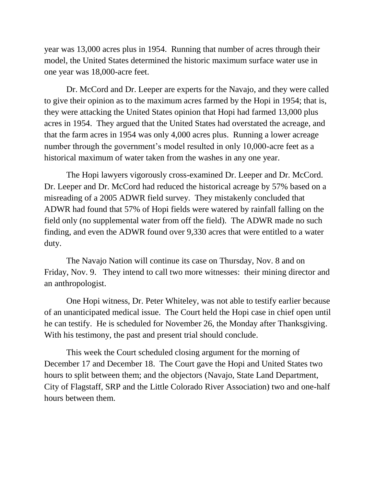year was 13,000 acres plus in 1954. Running that number of acres through their model, the United States determined the historic maximum surface water use in one year was 18,000-acre feet.

Dr. McCord and Dr. Leeper are experts for the Navajo, and they were called to give their opinion as to the maximum acres farmed by the Hopi in 1954; that is, they were attacking the United States opinion that Hopi had farmed 13,000 plus acres in 1954. They argued that the United States had overstated the acreage, and that the farm acres in 1954 was only 4,000 acres plus. Running a lower acreage number through the government's model resulted in only 10,000-acre feet as a historical maximum of water taken from the washes in any one year.

The Hopi lawyers vigorously cross-examined Dr. Leeper and Dr. McCord. Dr. Leeper and Dr. McCord had reduced the historical acreage by 57% based on a misreading of a 2005 ADWR field survey. They mistakenly concluded that ADWR had found that 57% of Hopi fields were watered by rainfall falling on the field only (no supplemental water from off the field). The ADWR made no such finding, and even the ADWR found over 9,330 acres that were entitled to a water duty.

The Navajo Nation will continue its case on Thursday, Nov. 8 and on Friday, Nov. 9. They intend to call two more witnesses: their mining director and an anthropologist.

One Hopi witness, Dr. Peter Whiteley, was not able to testify earlier because of an unanticipated medical issue. The Court held the Hopi case in chief open until he can testify. He is scheduled for November 26, the Monday after Thanksgiving. With his testimony, the past and present trial should conclude.

This week the Court scheduled closing argument for the morning of December 17 and December 18. The Court gave the Hopi and United States two hours to split between them; and the objectors (Navajo, State Land Department, City of Flagstaff, SRP and the Little Colorado River Association) two and one-half hours between them.